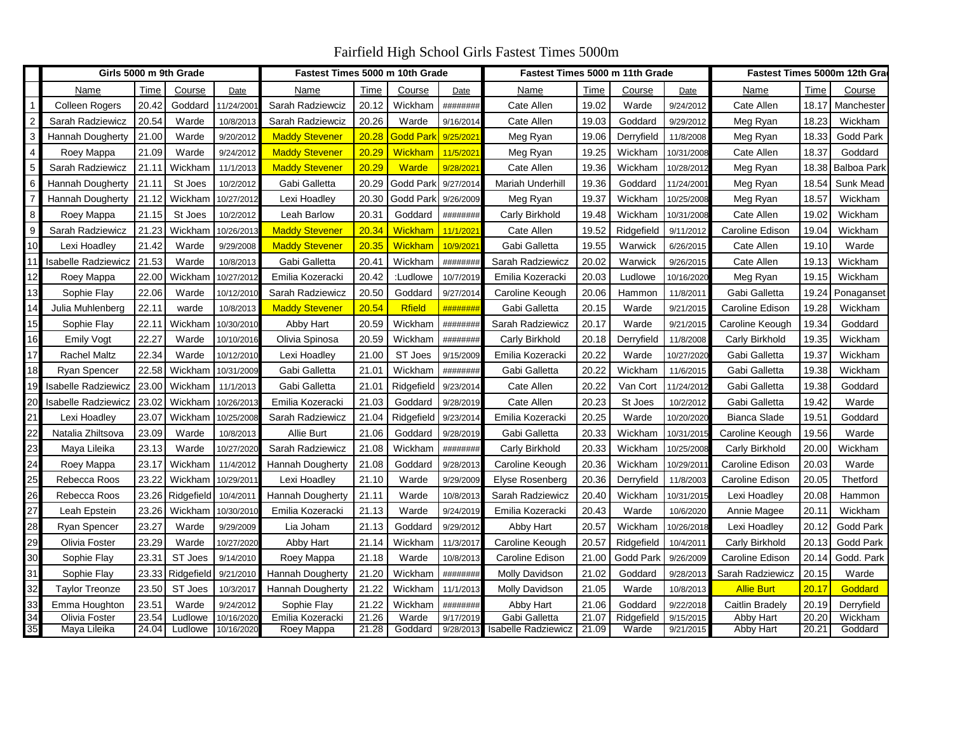Fairfield High School Girls Fastest Times 5000m

|                 |                            | Girls 5000 m 9th Grade |            | Fastest Times 5000 m 10th Grade |                       |       |                  | Fastest Times 5000 m 11th Grade |                            |       |            | Fastest Times 5000m 12th Gra |                   |       |                    |
|-----------------|----------------------------|------------------------|------------|---------------------------------|-----------------------|-------|------------------|---------------------------------|----------------------------|-------|------------|------------------------------|-------------------|-------|--------------------|
|                 | Name                       | Time                   | Course     | Date                            | Name                  | Time  | Course           | Date                            | Name                       | Time  | Course     | Date                         | Name              | Time  | Course             |
|                 | <b>Colleen Rogers</b>      | 20.42                  | Goddard    | 11/24/200                       | Sarah Radziewciz      | 20.12 | Wickham          | ########                        | Cate Allen                 | 19.02 | Warde      | 9/24/2012                    | Cate Allen        | 18.17 | Manchester         |
| $\overline{c}$  | Sarah Radziewicz           | 20.54                  | Warde      | 10/8/2013                       | Sarah Radziewciz      | 20.26 | Warde            | 9/16/2014                       | Cate Allen                 | 19.03 | Goddard    | 9/29/2012                    | Meg Ryan          | 18.23 | Wickham            |
| 3               | Hannah Dougherty           | 21.00                  | Warde      | 9/20/2012                       | <b>Maddy Stevener</b> | 20.28 | <b>Godd Parl</b> | 9/25/202                        | Meg Ryan                   | 19.06 | Derryfield | 11/8/2008                    | Meg Ryan          | 18.33 | Godd Park          |
| 4               | Roey Mappa                 | 21.09                  | Warde      | 9/24/2012                       | <b>Maddy Stevener</b> | 20.29 | Wickham          | 11/5/202                        | Meg Ryan                   | 19.25 | Wickham    | 10/31/2008                   | Cate Allen        | 18.37 | Goddard            |
| 5               | Sarah Radziewicz           | 21.11                  | Wickham    | 11/1/2013                       | <b>Maddy Stevener</b> | 20.29 | <b>Warde</b>     | 9/28/202                        | Cate Allen                 | 19.36 | Wickham    | 10/28/2012                   | Meg Ryan          | 18.38 | <b>Balboa Park</b> |
| 6               | <b>Hannah Dougherty</b>    | 21.11                  | St Joes    | 10/2/2012                       | Gabi Galletta         | 20.29 | Godd Parl        | 9/27/2014                       | Mariah Underhill           | 19.36 | Goddard    | 11/24/200                    | Meg Ryan          | 18.54 | Sunk Mead          |
|                 | Hannah Dougherty           | 21.12                  | Wickham    | 10/27/2012                      | Lexi Hoadley          | 20.30 | Godd Park        | 9/26/2009                       | Meg Ryan                   | 19.37 | Wickham    | 10/25/2008                   | Meg Ryan          | 18.57 | Wickham            |
| 8               | Roey Mappa                 | 21.15                  | St Joes    | 10/2/2012                       | Leah Barlow           | 20.31 | Goddard          | ########                        | Carly Birkhold             | 19.48 | Wickham    | 10/31/2008                   | Cate Allen        | 19.02 | Wickham            |
| 9               | Sarah Radziewicz           | 21.23                  | Wickham    | 10/26/201                       | <b>Maddy Stevener</b> | 20.34 | Wickham          | 11/1/202                        | Cate Allen                 | 19.52 | Ridgefield | 9/11/2012                    | Caroline Edison   | 19.04 | Wickham            |
| 10              | Lexi Hoadley               | 21.42                  | Warde      | 9/29/2008                       | <b>Maddy Stevener</b> | 20.35 | Wickham          | 10/9/202                        | Gabi Galletta              | 19.55 | Warwick    | 6/26/2015                    | Cate Allen        | 19.10 | Warde              |
| 11              | <b>Isabelle Radziewicz</b> | 21.53                  | Warde      | 10/8/2013                       | Gabi Galletta         | 20.41 | Wickham          | ########                        | Sarah Radziewicz           | 20.02 | Warwick    | 9/26/2015                    | Cate Allen        | 19.13 | Wickham            |
| 12              | Roey Mappa                 | 22.00                  | Wickham    | 10/27/201                       | Emilia Kozeracki      | 20.42 | :Ludlowe         | 10/7/2019                       | Emilia Kozeracki           | 20.03 | Ludlowe    | 10/16/2020                   | Meg Ryan          | 19.15 | Wickham            |
| 13              | Sophie Flay                | 22.06                  | Warde      | 10/12/201                       | Sarah Radziewicz      | 20.50 | Goddard          | 9/27/2014                       | Caroline Keough            | 20.06 | Hammon     | 11/8/2011                    | Gabi Galletta     | 19.24 | Ponaganset         |
| 14              | Julia Muhlenberg           | 22.11                  | warde      | 10/8/2013                       | <b>Maddy Stevener</b> | 20.54 | <b>Rfield</b>    | #######                         | Gabi Galletta              | 20.15 | Warde      | 9/21/2015                    | Caroline Edison   | 19.28 | Wickham            |
| 15              | Sophie Flay                | 22.11                  | Wickham    | 10/30/2010                      | Abby Hart             | 20.59 | Wickham          | ########                        | Sarah Radziewicz           | 20.17 | Warde      | 9/21/2015                    | Caroline Keough   | 19.34 | Goddard            |
| 16              | Emily Vogt                 | 22.27                  | Warde      | 10/10/2016                      | Olivia Spinosa        | 20.59 | Wickham          | ########                        | Carly Birkhold             | 20.18 | Derryfield | 11/8/2008                    | Carly Birkhold    | 19.35 | Wickham            |
| 17              | <b>Rachel Maltz</b>        | 22.34                  | Warde      | 10/12/2010                      | Lexi Hoadley          | 21.00 | ST Joes          | 9/15/2009                       | Emilia Kozeracki           | 20.22 | Warde      | 10/27/2020                   | Gabi Galletta     | 19.37 | Wickham            |
| 18              | Ryan Spencer               | 22.58                  | Wickham    | 10/31/2009                      | Gabi Galletta         | 21.01 | Wickham          | ########                        | Gabi Galletta              | 20.22 | Wickham    | 11/6/2015                    | Gabi Galletta     | 19.38 | Wickham            |
| 19              | Isabelle Radziewicz        | 23.00                  | Wickham    | 11/1/2013                       | Gabi Galletta         | 21.01 | Ridgefield       | 9/23/2014                       | Cate Allen                 | 20.22 | Van Cort   | 11/24/2012                   | Gabi Galletta     | 19.38 | Goddard            |
| 20              | <b>Isabelle Radziewicz</b> | 23.02                  | Wickham    | 10/26/201                       | Emilia Kozeracki      | 21.03 | Goddard          | 9/28/2019                       | Cate Allen                 | 20.23 | St Joes    | 10/2/2012                    | Gabi Galletta     | 19.42 | Warde              |
| 21              | Lexi Hoadley               | 23.07                  | Wickham    | 10/25/2008                      | Sarah Radziewicz      | 21.04 | Ridgefield       | 9/23/2014                       | Emilia Kozeracki           | 20.25 | Warde      | 10/20/2020                   | Bianca Slade      | 19.51 | Goddard            |
| 22              | Natalia Zhiltsova          | 23.09                  | Warde      | 10/8/2013                       | Allie Burt            | 21.06 | Goddard          | 9/28/2019                       | Gabi Galletta              | 20.33 | Wickham    | 10/31/201                    | Caroline Keough   | 19.56 | Warde              |
| 23              | Maya Lileika               | 23.13                  | Warde      | 10/27/2020                      | Sarah Radziewicz      | 21.08 | Wickham          | ########                        | Carly Birkhold             | 20.33 | Wickham    | 10/25/2008                   | Carly Birkhold    | 20.00 | Wickham            |
| 24              | Roey Mappa                 | 23.17                  | Wickham    | 11/4/2012                       | Hannah Dougherty      | 21.08 | Goddard          | 9/28/201                        | Caroline Keough            | 20.36 | Wickham    | 10/29/201                    | Caroline Edison   | 20.03 | Warde              |
| $\overline{25}$ | Rebecca Roos               | 23.22                  | Wickham    | 10/29/201                       | Lexi Hoadley          | 21.10 | Warde            | 9/29/200                        | Elyse Rosenberg            | 20.36 | Derryfield | 11/8/2003                    | Caroline Edison   | 20.05 | Thetford           |
| 26              | Rebecca Roos               | 23.26                  | Ridgefield | 10/4/2011                       | Hannah Dougherty      | 21.11 | Warde            | 10/8/201                        | Sarah Radziewicz           | 20.40 | Wickham    | 0/31/201                     | Lexi Hoadley      | 20.08 | Hammon             |
| $\overline{27}$ | Leah Epstein               | 23.26                  | Wickham    | 10/30/201                       | Emilia Kozeracki      | 21.13 | Warde            | 9/24/201                        | Emilia Kozeracki           | 20.43 | Warde      | 10/6/2020                    | Annie Magee       | 20.11 | Wickham            |
| 28              | Ryan Spencer               | 23.27                  | Warde      | 9/29/2009                       | Lia Joham             | 21.13 | Goddard          | 9/29/2012                       | Abby Hart                  | 20.57 | Wickham    | 10/26/2018                   | Lexi Hoadley      | 20.12 | Godd Park          |
| 29              | Olivia Foster              | 23.29                  | Warde      | 10/27/2020                      | Abby Hart             | 21.14 | Wickham          | 11/3/201                        | Caroline Keough            | 20.57 | Ridgefield | 10/4/201                     | Carly Birkhold    | 20.13 | Godd Park          |
| 30              | Sophie Flay                | 23.31                  | ST Joes    | 9/14/2010                       | Roey Mappa            | 21.18 | Warde            | 10/8/201                        | Caroline Edison            | 21.00 | Godd Park  | 9/26/2009                    | Caroline Edison   | 20.14 | Godd. Park         |
| 31              | Sophie Flay                | 23.33                  | Ridgefield | 9/21/2010                       | Hannah Dougherty      | 21.20 | Wickham          | ########                        | Molly Davidson             | 21.02 | Goddard    | 9/28/201                     | Sarah Radziewicz  | 20.15 | Warde              |
| 32              | Taylor Treonze             | 23.50                  | ST Joes    | 10/3/2017                       | Hannah Dougherty      | 21.22 | Wickham          | 11/1/2013                       | Molly Davidson             | 21.05 | Warde      | 10/8/2013                    | <b>Allie Burt</b> | 20.17 | Goddard            |
| 33              | Emma Houghton              | 23.51                  | Warde      | 9/24/2012                       | Sophie Flay           | 21.22 | Wickham          | ########                        | Abby Hart                  | 21.06 | Goddard    | 9/22/2018                    | Caitlin Bradely   | 20.19 | Derryfield         |
| $\overline{34}$ | Olivia Foster              | 23.54                  | Ludlowe    | 10/16/202                       | Emilia Kozeracki      | 21.26 | Warde            | 9/17/201                        | Gabi Galletta              | 21.07 | Ridgefield | 9/15/2015                    | <b>Abby Hart</b>  | 20.20 | Wickham            |
| $\overline{35}$ | Maya Lileika               | 24.04                  | Ludlowe    | 10/16/202                       | Roey Mappa            | 21.28 | Goddard          | 9/28/201                        | <b>Isabelle Radziewicz</b> | 21.09 | Warde      | 9/21/2015                    | Abby Hart         | 20.21 | Goddard            |